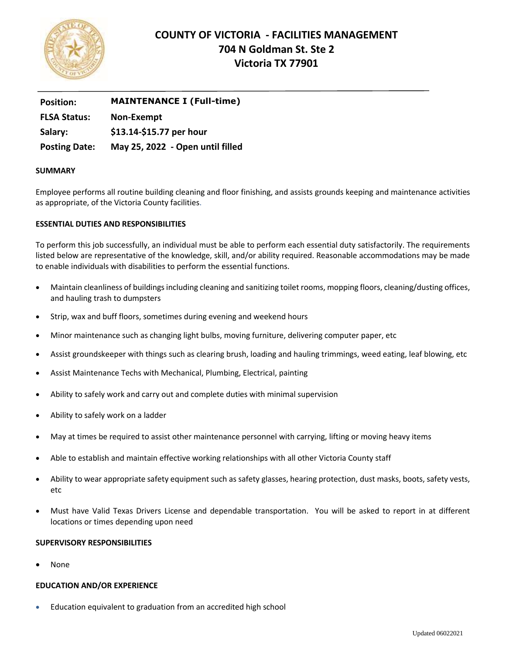

# **COUNTY OF VICTORIA - FACILITIES MANAGEMENT 704 N Goldman St. Ste 2 Victoria TX 77901**

| <b>Position:</b>     | <b>MAINTENANCE I (Full-time)</b> |
|----------------------|----------------------------------|
| <b>FLSA Status:</b>  | Non-Exempt                       |
| Salary:              | \$13.14-\$15.77 per hour         |
| <b>Posting Date:</b> | May 25, 2022 - Open until filled |

# **SUMMARY**

Employee performs all routine building cleaning and floor finishing, and assists grounds keeping and maintenance activities as appropriate, of the Victoria County facilities.

# **ESSENTIAL DUTIES AND RESPONSIBILITIES**

To perform this job successfully, an individual must be able to perform each essential duty satisfactorily. The requirements listed below are representative of the knowledge, skill, and/or ability required. Reasonable accommodations may be made to enable individuals with disabilities to perform the essential functions.

- Maintain cleanliness of buildings including cleaning and sanitizing toilet rooms, mopping floors, cleaning/dusting offices, and hauling trash to dumpsters
- Strip, wax and buff floors, sometimes during evening and weekend hours
- Minor maintenance such as changing light bulbs, moving furniture, delivering computer paper, etc
- Assist groundskeeper with things such as clearing brush, loading and hauling trimmings, weed eating, leaf blowing, etc
- Assist Maintenance Techs with Mechanical, Plumbing, Electrical, painting
- Ability to safely work and carry out and complete duties with minimal supervision
- Ability to safely work on a ladder
- May at times be required to assist other maintenance personnel with carrying, lifting or moving heavy items
- Able to establish and maintain effective working relationships with all other Victoria County staff
- Ability to wear appropriate safety equipment such as safety glasses, hearing protection, dust masks, boots, safety vests, etc
- Must have Valid Texas Drivers License and dependable transportation. You will be asked to report in at different locations or times depending upon need

## **SUPERVISORY RESPONSIBILITIES**

None

## **EDUCATION AND/OR EXPERIENCE**

Education equivalent to graduation from an accredited high school